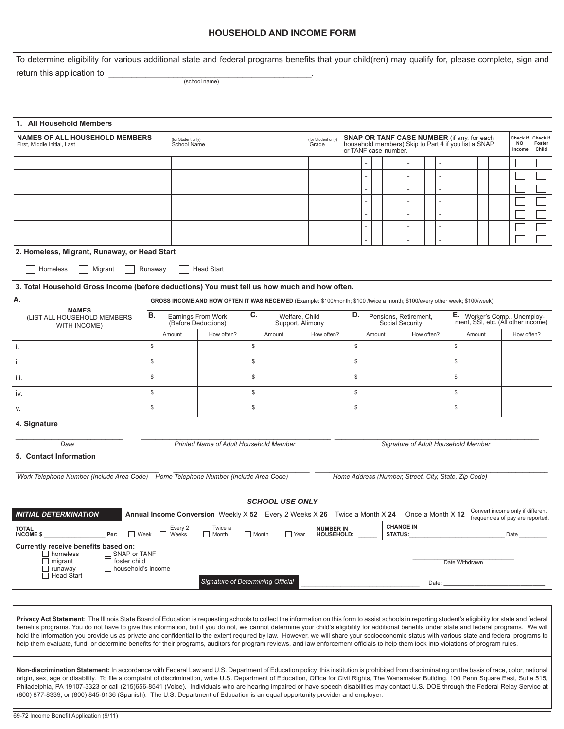# **HOUSEHOLD AND INCOME FORM**

To determine eligibility for various additional state and federal programs benefits that your child(ren) may qualify for, please complete, sign and

return this application to \_\_\_\_\_\_\_\_\_\_\_\_\_\_\_\_\_\_\_\_\_\_\_\_\_\_\_\_\_\_\_\_\_\_\_\_\_\_\_\_\_\_\_\_.

(school name)

| 1. All Household Members                                                                                                                                                                                                                                                                                                                                                                                                                                                                                                                                                                                                                                                                                                                                                                     |                                                                                                                             |                                           |                                                                                                        |                                |                                                                                                                                   |    |  |        |                                    |                                          |                                                      |  |    |                                                                    |        |                             |  |                                  |                                  |
|----------------------------------------------------------------------------------------------------------------------------------------------------------------------------------------------------------------------------------------------------------------------------------------------------------------------------------------------------------------------------------------------------------------------------------------------------------------------------------------------------------------------------------------------------------------------------------------------------------------------------------------------------------------------------------------------------------------------------------------------------------------------------------------------|-----------------------------------------------------------------------------------------------------------------------------|-------------------------------------------|--------------------------------------------------------------------------------------------------------|--------------------------------|-----------------------------------------------------------------------------------------------------------------------------------|----|--|--------|------------------------------------|------------------------------------------|------------------------------------------------------|--|----|--------------------------------------------------------------------|--------|-----------------------------|--|----------------------------------|----------------------------------|
| <b>NAMES OF ALL HOUSEHOLD MEMBERS</b><br>First. Middle Initial. Last                                                                                                                                                                                                                                                                                                                                                                                                                                                                                                                                                                                                                                                                                                                         |                                                                                                                             | (for Student only)<br>School Name         |                                                                                                        |                                | <b>SNAP OR TANF CASE NUMBER</b> (if any, for each<br>household members) Skip to Part 4 if you list a SNAP<br>or TANF case number. |    |  |        |                                    |                                          | Check if<br><b>NO</b><br>Income                      |  |    |                                                                    |        | Check if<br>Foster<br>Child |  |                                  |                                  |
|                                                                                                                                                                                                                                                                                                                                                                                                                                                                                                                                                                                                                                                                                                                                                                                              |                                                                                                                             |                                           |                                                                                                        |                                |                                                                                                                                   |    |  |        |                                    |                                          |                                                      |  |    |                                                                    |        |                             |  |                                  |                                  |
|                                                                                                                                                                                                                                                                                                                                                                                                                                                                                                                                                                                                                                                                                                                                                                                              |                                                                                                                             |                                           |                                                                                                        |                                |                                                                                                                                   |    |  |        |                                    |                                          |                                                      |  |    |                                                                    |        |                             |  |                                  |                                  |
|                                                                                                                                                                                                                                                                                                                                                                                                                                                                                                                                                                                                                                                                                                                                                                                              |                                                                                                                             |                                           |                                                                                                        |                                |                                                                                                                                   |    |  |        |                                    |                                          |                                                      |  |    |                                                                    |        |                             |  |                                  |                                  |
|                                                                                                                                                                                                                                                                                                                                                                                                                                                                                                                                                                                                                                                                                                                                                                                              |                                                                                                                             |                                           |                                                                                                        |                                |                                                                                                                                   |    |  |        |                                    |                                          |                                                      |  |    |                                                                    |        |                             |  |                                  |                                  |
|                                                                                                                                                                                                                                                                                                                                                                                                                                                                                                                                                                                                                                                                                                                                                                                              |                                                                                                                             |                                           |                                                                                                        |                                |                                                                                                                                   |    |  |        |                                    |                                          |                                                      |  |    |                                                                    |        |                             |  |                                  |                                  |
|                                                                                                                                                                                                                                                                                                                                                                                                                                                                                                                                                                                                                                                                                                                                                                                              |                                                                                                                             |                                           |                                                                                                        |                                |                                                                                                                                   |    |  |        |                                    |                                          |                                                      |  |    |                                                                    |        |                             |  |                                  |                                  |
|                                                                                                                                                                                                                                                                                                                                                                                                                                                                                                                                                                                                                                                                                                                                                                                              |                                                                                                                             |                                           |                                                                                                        |                                |                                                                                                                                   |    |  |        |                                    |                                          |                                                      |  |    |                                                                    |        |                             |  |                                  |                                  |
| 2. Homeless, Migrant, Runaway, or Head Start<br>Homeless<br>Migrant                                                                                                                                                                                                                                                                                                                                                                                                                                                                                                                                                                                                                                                                                                                          | Runaway                                                                                                                     | <b>Head Start</b>                         |                                                                                                        |                                |                                                                                                                                   |    |  |        |                                    |                                          |                                                      |  |    |                                                                    |        |                             |  |                                  |                                  |
| 3. Total Household Gross Income (before deductions) You must tell us how much and how often.                                                                                                                                                                                                                                                                                                                                                                                                                                                                                                                                                                                                                                                                                                 |                                                                                                                             |                                           |                                                                                                        |                                |                                                                                                                                   |    |  |        |                                    |                                          |                                                      |  |    |                                                                    |        |                             |  |                                  |                                  |
| А.                                                                                                                                                                                                                                                                                                                                                                                                                                                                                                                                                                                                                                                                                                                                                                                           | GROSS INCOME AND HOW OFTEN IT WAS RECEIVED (Example: \$100/month; \$100 /twice a month; \$100/every other week; \$100/week) |                                           |                                                                                                        |                                |                                                                                                                                   |    |  |        |                                    |                                          |                                                      |  |    |                                                                    |        |                             |  |                                  |                                  |
| <b>NAMES</b><br>(LIST ALL HOUSEHOLD MEMBERS<br>WITH INCOME)                                                                                                                                                                                                                                                                                                                                                                                                                                                                                                                                                                                                                                                                                                                                  | B.<br>Earnings From Work<br>(Before Deductions)                                                                             |                                           | С.<br>Welfare, Child<br>Support, Alimony                                                               |                                |                                                                                                                                   | D. |  |        |                                    | Pensions, Retirement,<br>Social Security |                                                      |  |    | E. Worker's Comp., Unemploy-<br>ment, SSI, etc. (All other income) |        |                             |  |                                  |                                  |
|                                                                                                                                                                                                                                                                                                                                                                                                                                                                                                                                                                                                                                                                                                                                                                                              | Amount                                                                                                                      | How often?                                | Amount                                                                                                 | How often?                     |                                                                                                                                   |    |  | Amount |                                    |                                          | How often?                                           |  |    |                                                                    | Amount |                             |  | How often?                       |                                  |
| i.                                                                                                                                                                                                                                                                                                                                                                                                                                                                                                                                                                                                                                                                                                                                                                                           | \$                                                                                                                          |                                           | \$                                                                                                     |                                |                                                                                                                                   | \$ |  |        |                                    |                                          |                                                      |  |    | \$                                                                 |        |                             |  |                                  |                                  |
| ii.                                                                                                                                                                                                                                                                                                                                                                                                                                                                                                                                                                                                                                                                                                                                                                                          | \$                                                                                                                          |                                           | \$                                                                                                     |                                |                                                                                                                                   | \$ |  |        |                                    |                                          |                                                      |  |    | \$                                                                 |        |                             |  |                                  |                                  |
| iii.                                                                                                                                                                                                                                                                                                                                                                                                                                                                                                                                                                                                                                                                                                                                                                                         | \$                                                                                                                          |                                           | \$                                                                                                     |                                | $\mathbb{S}$                                                                                                                      |    |  |        |                                    |                                          |                                                      |  | \$ |                                                                    |        |                             |  |                                  |                                  |
| İV.                                                                                                                                                                                                                                                                                                                                                                                                                                                                                                                                                                                                                                                                                                                                                                                          | \$                                                                                                                          |                                           | \$                                                                                                     |                                |                                                                                                                                   | \$ |  |        |                                    |                                          |                                                      |  |    | \$                                                                 |        |                             |  |                                  |                                  |
| V.                                                                                                                                                                                                                                                                                                                                                                                                                                                                                                                                                                                                                                                                                                                                                                                           | \$                                                                                                                          |                                           | \$                                                                                                     |                                |                                                                                                                                   | \$ |  |        |                                    |                                          |                                                      |  |    | \$                                                                 |        |                             |  |                                  |                                  |
| 4. Signature                                                                                                                                                                                                                                                                                                                                                                                                                                                                                                                                                                                                                                                                                                                                                                                 |                                                                                                                             |                                           |                                                                                                        |                                |                                                                                                                                   |    |  |        |                                    |                                          |                                                      |  |    |                                                                    |        |                             |  |                                  |                                  |
| Printed Name of Adult Household Member<br>Date<br>Signature of Adult Household Member                                                                                                                                                                                                                                                                                                                                                                                                                                                                                                                                                                                                                                                                                                        |                                                                                                                             |                                           |                                                                                                        |                                |                                                                                                                                   |    |  |        |                                    |                                          |                                                      |  |    |                                                                    |        |                             |  |                                  |                                  |
| 5. Contact Information                                                                                                                                                                                                                                                                                                                                                                                                                                                                                                                                                                                                                                                                                                                                                                       |                                                                                                                             |                                           |                                                                                                        |                                |                                                                                                                                   |    |  |        |                                    |                                          |                                                      |  |    |                                                                    |        |                             |  |                                  |                                  |
| Work Telephone Number (Include Area Code)                                                                                                                                                                                                                                                                                                                                                                                                                                                                                                                                                                                                                                                                                                                                                    |                                                                                                                             | Home Telephone Number (Include Area Code) |                                                                                                        |                                |                                                                                                                                   |    |  |        |                                    |                                          | Home Address (Number, Street, City, State, Zip Code) |  |    |                                                                    |        |                             |  |                                  |                                  |
|                                                                                                                                                                                                                                                                                                                                                                                                                                                                                                                                                                                                                                                                                                                                                                                              |                                                                                                                             |                                           |                                                                                                        |                                |                                                                                                                                   |    |  |        |                                    |                                          |                                                      |  |    |                                                                    |        |                             |  |                                  |                                  |
|                                                                                                                                                                                                                                                                                                                                                                                                                                                                                                                                                                                                                                                                                                                                                                                              |                                                                                                                             |                                           | <b>SCHOOL USE ONLY</b>                                                                                 |                                |                                                                                                                                   |    |  |        |                                    |                                          |                                                      |  |    |                                                                    |        |                             |  |                                  |                                  |
| INITIAL DETERMINATION                                                                                                                                                                                                                                                                                                                                                                                                                                                                                                                                                                                                                                                                                                                                                                        |                                                                                                                             |                                           | <b>Annual Income Conversion</b> Weekly $\times$ 52 Every 2 Weeks $\times$ 26 Twice a Month $\times$ 24 |                                |                                                                                                                                   |    |  |        |                                    |                                          | Once a Month X 12                                    |  |    |                                                                    |        |                             |  | frequencies of pay are reported. | Convert income only if different |
| <b>TOTAL</b><br>$\Box$ Week<br><b>INCOME \$</b><br>Per:                                                                                                                                                                                                                                                                                                                                                                                                                                                                                                                                                                                                                                                                                                                                      | Every 2<br>Weeks                                                                                                            | Twice a<br>$\Box$ Month                   | $\Box$ Month<br>$\Box$ Year                                                                            | <b>NUMBER IN</b><br>HOUSEHOLD: |                                                                                                                                   |    |  |        | <b>CHANGE IN</b><br><b>STATUS:</b> |                                          |                                                      |  |    |                                                                    |        |                             |  | Date                             |                                  |
| Currently receive benefits based on:<br>$\Box$ SNAP or TANF<br>$\Box$ homeless<br>$\Box$ migrant<br>$\Box$ foster child<br>Date Withdrawn<br>$\Box$<br>runaway<br>household's income<br><b>Head Start</b><br>Signature of Determining Official<br>Date:                                                                                                                                                                                                                                                                                                                                                                                                                                                                                                                                      |                                                                                                                             |                                           |                                                                                                        |                                |                                                                                                                                   |    |  |        |                                    |                                          |                                                      |  |    |                                                                    |        |                             |  |                                  |                                  |
|                                                                                                                                                                                                                                                                                                                                                                                                                                                                                                                                                                                                                                                                                                                                                                                              |                                                                                                                             |                                           |                                                                                                        |                                |                                                                                                                                   |    |  |        |                                    |                                          |                                                      |  |    |                                                                    |        |                             |  |                                  |                                  |
| Privacy Act Statement: The Illinois State Board of Education is requesting schools to collect the information on this form to assist schools in reporting student's eligibility for state and federal<br>benefits programs. You do not have to give this information, but if you do not, we cannot determine your child's eligibility for additional benefits under state and federal programs. We will<br>hold the information you provide us as private and confidential to the extent required by law. However, we will share your socioeconomic status with various state and federal programs to<br>help them evaluate, fund, or determine benefits for their programs, auditors for program reviews, and law enforcement officials to help them look into violations of program rules. |                                                                                                                             |                                           |                                                                                                        |                                |                                                                                                                                   |    |  |        |                                    |                                          |                                                      |  |    |                                                                    |        |                             |  |                                  |                                  |
| Non-discrimination Statement: In accordance with Federal Law and U.S. Department of Education policy, this institution is prohibited from discriminating on the basis of race, color, national<br>origin, sex, age or disability. To file a complaint of discrimination, write U.S. Department of Education, Office for Civil Rights, The Wanamaker Building, 100 Penn Square East, Suite 515,<br>Philadelphia, PA 19107-3323 or call (215)656-8541 (Voice). Individuals who are hearing impaired or have speech disabilities may contact U.S. DOE through the Federal Relay Service at<br>(800) 877-8339; or (800) 845-6136 (Spanish). The U.S. Department of Education is an equal opportunity provider and employer.                                                                      |                                                                                                                             |                                           |                                                                                                        |                                |                                                                                                                                   |    |  |        |                                    |                                          |                                                      |  |    |                                                                    |        |                             |  |                                  |                                  |